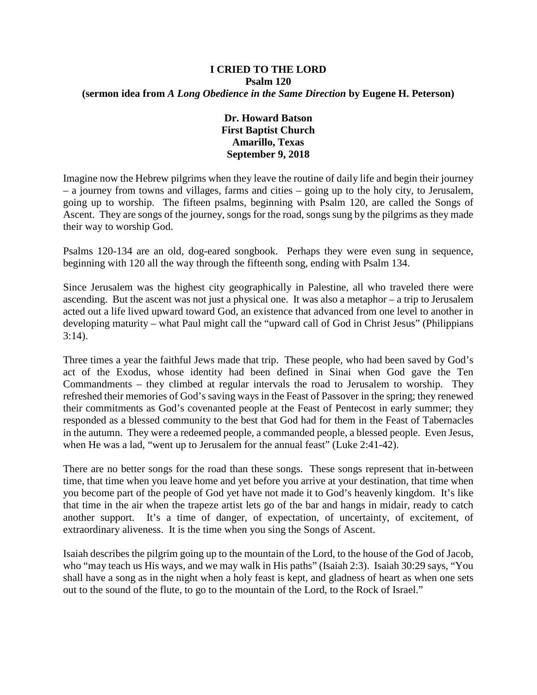## **I CRIED TO THE LORD Psalm 120 (sermon idea from** *A Long Obedience in the Same Direction* **by Eugene H. Peterson)**

## **Dr. Howard Batson First Baptist Church Amarillo, Texas September 9, 2018**

Imagine now the Hebrew pilgrims when they leave the routine of daily life and begin their journey – a journey from towns and villages, farms and cities – going up to the holy city, to Jerusalem, going up to worship. The fifteen psalms, beginning with Psalm 120, are called the Songs of Ascent. They are songs of the journey, songs for the road, songs sung by the pilgrims as they made their way to worship God.

Psalms 120-134 are an old, dog-eared songbook. Perhaps they were even sung in sequence, beginning with 120 all the way through the fifteenth song, ending with Psalm 134.

Since Jerusalem was the highest city geographically in Palestine, all who traveled there were ascending. But the ascent was not just a physical one. It was also a metaphor – a trip to Jerusalem acted out a life lived upward toward God, an existence that advanced from one level to another in developing maturity – what Paul might call the "upward call of God in Christ Jesus" (Philippians 3:14).

Three times a year the faithful Jews made that trip. These people, who had been saved by God's act of the Exodus, whose identity had been defined in Sinai when God gave the Ten Commandments – they climbed at regular intervals the road to Jerusalem to worship. They refreshed their memories of God's saving ways in the Feast of Passover in the spring; they renewed their commitments as God's covenanted people at the Feast of Pentecost in early summer; they responded as a blessed community to the best that God had for them in the Feast of Tabernacles in the autumn. They were a redeemed people, a commanded people, a blessed people. Even Jesus, when He was a lad, "went up to Jerusalem for the annual feast" (Luke 2:41-42).

There are no better songs for the road than these songs. These songs represent that in-between time, that time when you leave home and yet before you arrive at your destination, that time when you become part of the people of God yet have not made it to God's heavenly kingdom. It's like that time in the air when the trapeze artist lets go of the bar and hangs in midair, ready to catch another support. It's a time of danger, of expectation, of uncertainty, of excitement, of extraordinary aliveness. It is the time when you sing the Songs of Ascent.

Isaiah describes the pilgrim going up to the mountain of the Lord, to the house of the God of Jacob, who "may teach us His ways, and we may walk in His paths" (Isaiah 2:3). Isaiah 30:29 says, "You shall have a song as in the night when a holy feast is kept, and gladness of heart as when one sets out to the sound of the flute, to go to the mountain of the Lord, to the Rock of Israel."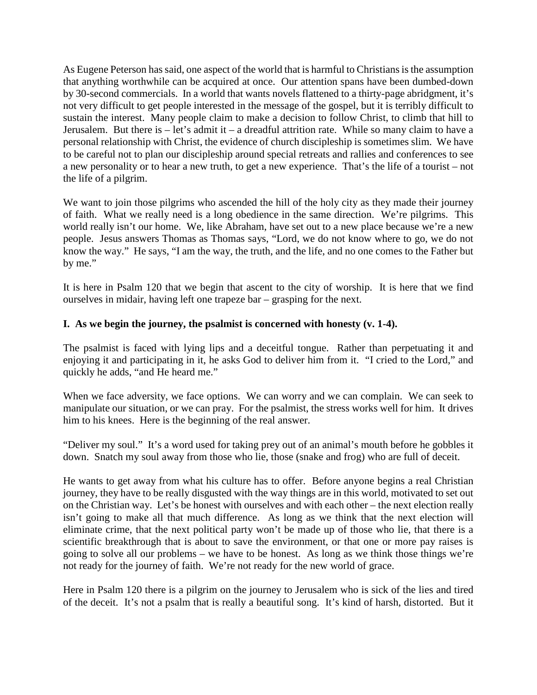As Eugene Peterson has said, one aspect of the world that is harmful to Christians is the assumption that anything worthwhile can be acquired at once. Our attention spans have been dumbed-down by 30-second commercials. In a world that wants novels flattened to a thirty-page abridgment, it's not very difficult to get people interested in the message of the gospel, but it is terribly difficult to sustain the interest. Many people claim to make a decision to follow Christ, to climb that hill to Jerusalem. But there is  $-$  let's admit it  $-$  a dreadful attrition rate. While so many claim to have a personal relationship with Christ, the evidence of church discipleship is sometimes slim. We have to be careful not to plan our discipleship around special retreats and rallies and conferences to see a new personality or to hear a new truth, to get a new experience. That's the life of a tourist – not the life of a pilgrim.

We want to join those pilgrims who ascended the hill of the holy city as they made their journey of faith. What we really need is a long obedience in the same direction. We're pilgrims. This world really isn't our home. We, like Abraham, have set out to a new place because we're a new people. Jesus answers Thomas as Thomas says, "Lord, we do not know where to go, we do not know the way." He says, "I am the way, the truth, and the life, and no one comes to the Father but by me."

It is here in Psalm 120 that we begin that ascent to the city of worship. It is here that we find ourselves in midair, having left one trapeze bar – grasping for the next.

## **I. As we begin the journey, the psalmist is concerned with honesty (v. 1-4).**

The psalmist is faced with lying lips and a deceitful tongue. Rather than perpetuating it and enjoying it and participating in it, he asks God to deliver him from it. "I cried to the Lord," and quickly he adds, "and He heard me."

When we face adversity, we face options. We can worry and we can complain. We can seek to manipulate our situation, or we can pray. For the psalmist, the stress works well for him. It drives him to his knees. Here is the beginning of the real answer.

"Deliver my soul." It's a word used for taking prey out of an animal's mouth before he gobbles it down. Snatch my soul away from those who lie, those (snake and frog) who are full of deceit.

He wants to get away from what his culture has to offer. Before anyone begins a real Christian journey, they have to be really disgusted with the way things are in this world, motivated to set out on the Christian way. Let's be honest with ourselves and with each other – the next election really isn't going to make all that much difference. As long as we think that the next election will eliminate crime, that the next political party won't be made up of those who lie, that there is a scientific breakthrough that is about to save the environment, or that one or more pay raises is going to solve all our problems – we have to be honest. As long as we think those things we're not ready for the journey of faith. We're not ready for the new world of grace.

Here in Psalm 120 there is a pilgrim on the journey to Jerusalem who is sick of the lies and tired of the deceit. It's not a psalm that is really a beautiful song. It's kind of harsh, distorted. But it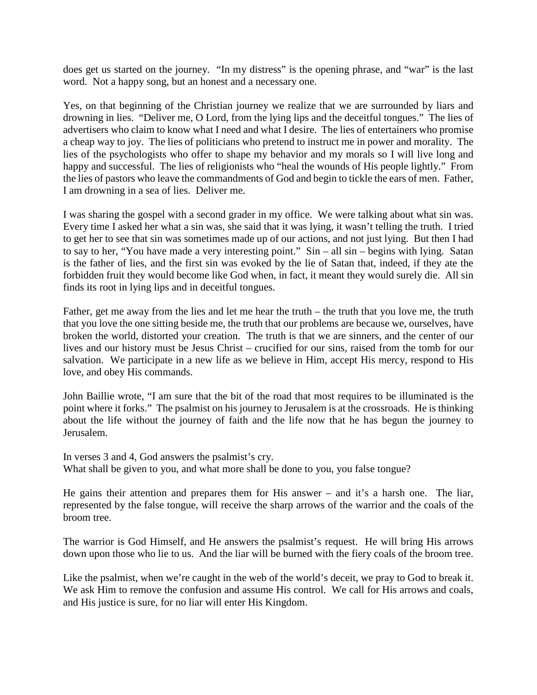does get us started on the journey. "In my distress" is the opening phrase, and "war" is the last word. Not a happy song, but an honest and a necessary one.

Yes, on that beginning of the Christian journey we realize that we are surrounded by liars and drowning in lies. "Deliver me, O Lord, from the lying lips and the deceitful tongues." The lies of advertisers who claim to know what I need and what I desire. The lies of entertainers who promise a cheap way to joy. The lies of politicians who pretend to instruct me in power and morality. The lies of the psychologists who offer to shape my behavior and my morals so I will live long and happy and successful. The lies of religionists who "heal the wounds of His people lightly." From the lies of pastors who leave the commandments of God and begin to tickle the ears of men. Father, I am drowning in a sea of lies. Deliver me.

I was sharing the gospel with a second grader in my office. We were talking about what sin was. Every time I asked her what a sin was, she said that it was lying, it wasn't telling the truth. I tried to get her to see that sin was sometimes made up of our actions, and not just lying. But then I had to say to her, "You have made a very interesting point." Sin – all sin – begins with lying. Satan is the father of lies, and the first sin was evoked by the lie of Satan that, indeed, if they ate the forbidden fruit they would become like God when, in fact, it meant they would surely die. All sin finds its root in lying lips and in deceitful tongues.

Father, get me away from the lies and let me hear the truth – the truth that you love me, the truth that you love the one sitting beside me, the truth that our problems are because we, ourselves, have broken the world, distorted your creation. The truth is that we are sinners, and the center of our lives and our history must be Jesus Christ – crucified for our sins, raised from the tomb for our salvation. We participate in a new life as we believe in Him, accept His mercy, respond to His love, and obey His commands.

John Baillie wrote, "I am sure that the bit of the road that most requires to be illuminated is the point where it forks." The psalmist on his journey to Jerusalem is at the crossroads. He is thinking about the life without the journey of faith and the life now that he has begun the journey to Jerusalem.

In verses 3 and 4, God answers the psalmist's cry. What shall be given to you, and what more shall be done to you, you false tongue?

He gains their attention and prepares them for His answer – and it's a harsh one. The liar, represented by the false tongue, will receive the sharp arrows of the warrior and the coals of the broom tree.

The warrior is God Himself, and He answers the psalmist's request. He will bring His arrows down upon those who lie to us. And the liar will be burned with the fiery coals of the broom tree.

Like the psalmist, when we're caught in the web of the world's deceit, we pray to God to break it. We ask Him to remove the confusion and assume His control. We call for His arrows and coals, and His justice is sure, for no liar will enter His Kingdom.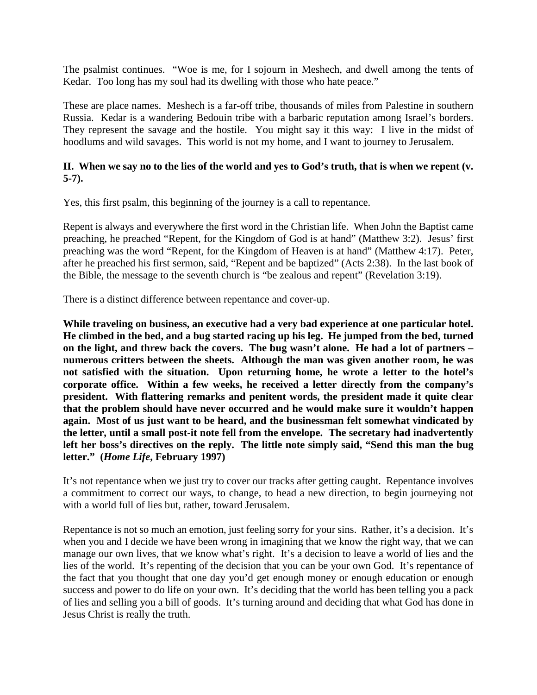The psalmist continues. "Woe is me, for I sojourn in Meshech, and dwell among the tents of Kedar. Too long has my soul had its dwelling with those who hate peace."

These are place names. Meshech is a far-off tribe, thousands of miles from Palestine in southern Russia. Kedar is a wandering Bedouin tribe with a barbaric reputation among Israel's borders. They represent the savage and the hostile. You might say it this way: I live in the midst of hoodlums and wild savages. This world is not my home, and I want to journey to Jerusalem.

## **II. When we say no to the lies of the world and yes to God's truth, that is when we repent (v. 5-7).**

Yes, this first psalm, this beginning of the journey is a call to repentance.

Repent is always and everywhere the first word in the Christian life. When John the Baptist came preaching, he preached "Repent, for the Kingdom of God is at hand" (Matthew 3:2). Jesus' first preaching was the word "Repent, for the Kingdom of Heaven is at hand" (Matthew 4:17). Peter, after he preached his first sermon, said, "Repent and be baptized" (Acts 2:38). In the last book of the Bible, the message to the seventh church is "be zealous and repent" (Revelation 3:19).

There is a distinct difference between repentance and cover-up.

**While traveling on business, an executive had a very bad experience at one particular hotel. He climbed in the bed, and a bug started racing up his leg. He jumped from the bed, turned on the light, and threw back the covers. The bug wasn't alone. He had a lot of partners – numerous critters between the sheets. Although the man was given another room, he was not satisfied with the situation. Upon returning home, he wrote a letter to the hotel's corporate office. Within a few weeks, he received a letter directly from the company's president. With flattering remarks and penitent words, the president made it quite clear that the problem should have never occurred and he would make sure it wouldn't happen again. Most of us just want to be heard, and the businessman felt somewhat vindicated by the letter, until a small post-it note fell from the envelope. The secretary had inadvertently left her boss's directives on the reply. The little note simply said, "Send this man the bug letter." (***Home Life***, February 1997)**

It's not repentance when we just try to cover our tracks after getting caught. Repentance involves a commitment to correct our ways, to change, to head a new direction, to begin journeying not with a world full of lies but, rather, toward Jerusalem.

Repentance is not so much an emotion, just feeling sorry for your sins. Rather, it's a decision. It's when you and I decide we have been wrong in imagining that we know the right way, that we can manage our own lives, that we know what's right. It's a decision to leave a world of lies and the lies of the world. It's repenting of the decision that you can be your own God. It's repentance of the fact that you thought that one day you'd get enough money or enough education or enough success and power to do life on your own. It's deciding that the world has been telling you a pack of lies and selling you a bill of goods. It's turning around and deciding that what God has done in Jesus Christ is really the truth.